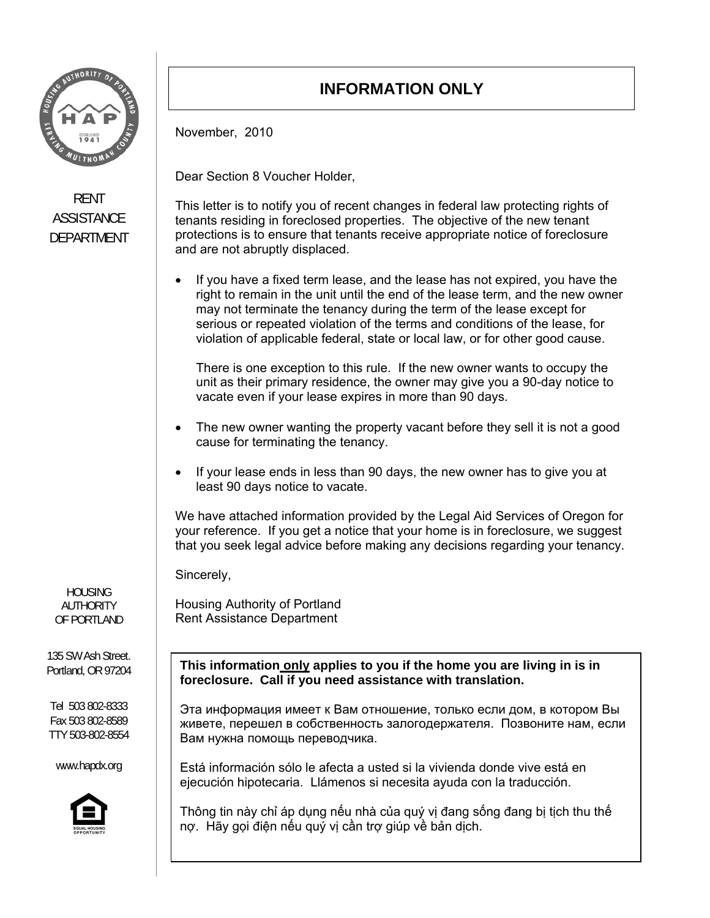

## RENT **ASSISTANCE** DEPARTMENT

HOUSING AUTHORITY OF PORTLAND

135 SW Ash Street. Portland, OR 97204

Tel 503 802-8333 Fax 503 802-8589 TTY 503-802-8554

www.hapdx.org



## **INFORMATION ONLY**

November, 2010

Dear Section 8 Voucher Holder,

This letter is to notify you of recent changes in federal law protecting rights of tenants residing in foreclosed properties. The objective of the new tenant protections is to ensure that tenants receive appropriate notice of foreclosure and are not abruptly displaced.

 If you have a fixed term lease, and the lease has not expired, you have the right to remain in the unit until the end of the lease term, and the new owner may not terminate the tenancy during the term of the lease except for serious or repeated violation of the terms and conditions of the lease, for violation of applicable federal, state or local law, or for other good cause.

There is one exception to this rule. If the new owner wants to occupy the unit as their primary residence, the owner may give you a 90-day notice to vacate even if your lease expires in more than 90 days.

- The new owner wanting the property vacant before they sell it is not a good cause for terminating the tenancy.
- If your lease ends in less than 90 days, the new owner has to give you at least 90 days notice to vacate.

We have attached information provided by the Legal Aid Services of Oregon for your reference. If you get a notice that your home is in foreclosure, we suggest that you seek legal advice before making any decisions regarding your tenancy.

Sincerely,

Housing Authority of Portland Rent Assistance Department

**This information only applies to you if the home you are living in is in foreclosure. Call if you need assistance with translation.** 

Эта информация имеет к Вам отношение, только если дом, в котором Вы живете, перешел в собственность залогодержателя. Позвоните нам, если Вам нужна помощь переводчика.

Está información sólo le afecta a usted si la vivienda donde vive está en ejecución hipotecaria. Llámenos si necesita ayuda con la traducción.

Thông tin này chỉ áp dụng nếu nhà của quý vị đang sống đang bị tịch thu thế nợ. Hãy gọi điện nếu quý vị cần trợ giúp về bản dịch.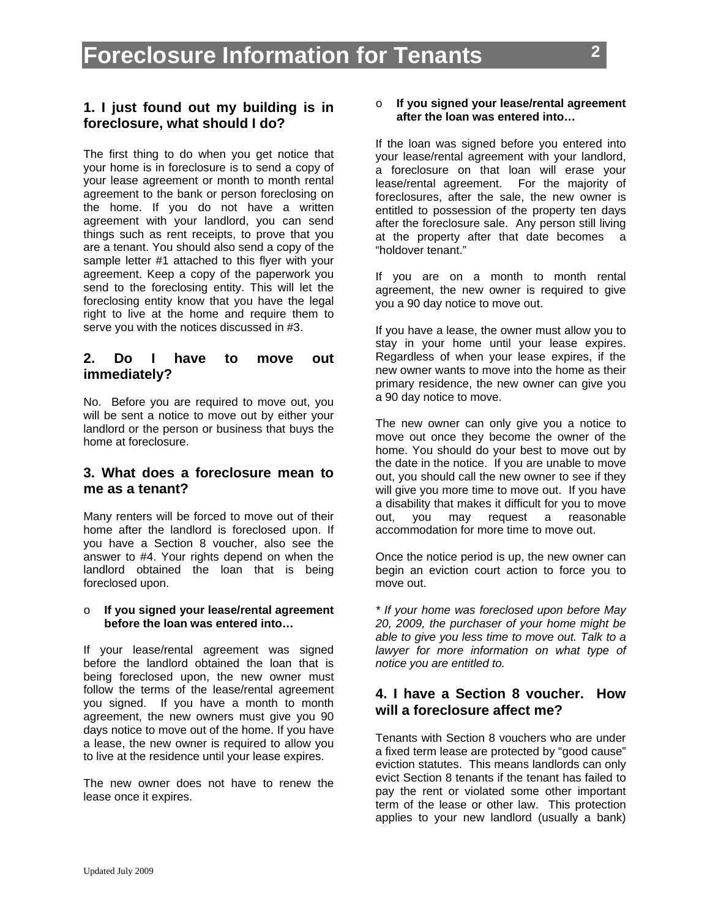#### **1. I just found out my building is in foreclosure, what should I do?**

The first thing to do when you get notice that your home is in foreclosure is to send a copy of your lease agreement or month to month rental agreement to the bank or person foreclosing on the home. If you do not have a written agreement with your landlord, you can send things such as rent receipts, to prove that you are a tenant. You should also send a copy of the sample letter #1 attached to this flyer with your agreement. Keep a copy of the paperwork you send to the foreclosing entity. This will let the foreclosing entity know that you have the legal right to live at the home and require them to serve you with the notices discussed in #3.

#### **2. Do I have to move out immediately?**

No. Before you are required to move out, you will be sent a notice to move out by either your landlord or the person or business that buys the home at foreclosure.

### **3. What does a foreclosure mean to me as a tenant?**

Many renters will be forced to move out of their home after the landlord is foreclosed upon. If you have a Section 8 voucher, also see the answer to #4. Your rights depend on when the landlord obtained the loan that is being foreclosed upon.

#### o **If you signed your lease/rental agreement before the loan was entered into…**

If your lease/rental agreement was signed before the landlord obtained the loan that is being foreclosed upon, the new owner must follow the terms of the lease/rental agreement you signed. If you have a month to month agreement, the new owners must give you 90 days notice to move out of the home. If you have a lease, the new owner is required to allow you to live at the residence until your lease expires.

The new owner does not have to renew the lease once it expires.

#### o **If you signed your lease/rental agreement after the loan was entered into…**

If the loan was signed before you entered into your lease/rental agreement with your landlord, a foreclosure on that loan will erase your lease/rental agreement. For the majority of foreclosures, after the sale, the new owner is entitled to possession of the property ten days after the foreclosure sale. Any person still living at the property after that date becomes a "holdover tenant."

If you are on a month to month rental agreement, the new owner is required to give you a 90 day notice to move out.

If you have a lease, the owner must allow you to stay in your home until your lease expires. Regardless of when your lease expires, if the new owner wants to move into the home as their primary residence, the new owner can give you a 90 day notice to move.

The new owner can only give you a notice to move out once they become the owner of the home. You should do your best to move out by the date in the notice. If you are unable to move out, you should call the new owner to see if they will give you more time to move out. If you have a disability that makes it difficult for you to move out, you may request a reasonable accommodation for more time to move out.

Once the notice period is up, the new owner can begin an eviction court action to force you to move out.

*\* If your home was foreclosed upon before May 20, 2009, the purchaser of your home might be able to give you less time to move out. Talk to a lawyer for more information on what type of notice you are entitled to.* 

#### **4. I have a Section 8 voucher. How will a foreclosure affect me?**

Tenants with Section 8 vouchers who are under a fixed term lease are protected by "good cause" eviction statutes. This means landlords can only evict Section 8 tenants if the tenant has failed to pay the rent or violated some other important term of the lease or other law. This protection applies to your new landlord (usually a bank)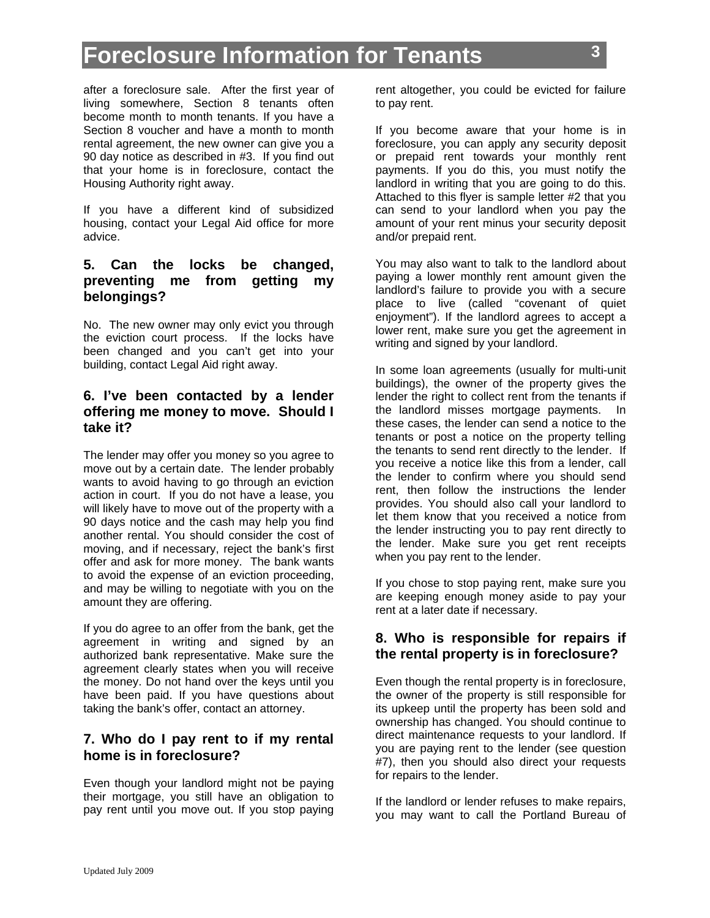after a foreclosure sale. After the first year of living somewhere, Section 8 tenants often become month to month tenants. If you have a Section 8 voucher and have a month to month rental agreement, the new owner can give you a 90 day notice as described in #3. If you find out that your home is in foreclosure, contact the Housing Authority right away.

If you have a different kind of subsidized housing, contact your Legal Aid office for more advice.

### **5. Can the locks be changed, preventing me from getting my belongings?**

No. The new owner may only evict you through the eviction court process. If the locks have been changed and you can't get into your building, contact Legal Aid right away.

### **6. I've been contacted by a lender offering me money to move. Should I take it?**

The lender may offer you money so you agree to move out by a certain date. The lender probably wants to avoid having to go through an eviction action in court. If you do not have a lease, you will likely have to move out of the property with a 90 days notice and the cash may help you find another rental. You should consider the cost of moving, and if necessary, reject the bank's first offer and ask for more money. The bank wants to avoid the expense of an eviction proceeding, and may be willing to negotiate with you on the amount they are offering.

If you do agree to an offer from the bank, get the agreement in writing and signed by an authorized bank representative. Make sure the agreement clearly states when you will receive the money. Do not hand over the keys until you have been paid. If you have questions about taking the bank's offer, contact an attorney.

### **7. Who do I pay rent to if my rental home is in foreclosure?**

Even though your landlord might not be paying their mortgage, you still have an obligation to pay rent until you move out. If you stop paying rent altogether, you could be evicted for failure to pay rent.

If you become aware that your home is in foreclosure, you can apply any security deposit or prepaid rent towards your monthly rent payments. If you do this, you must notify the landlord in writing that you are going to do this. Attached to this flyer is sample letter #2 that you can send to your landlord when you pay the amount of your rent minus your security deposit and/or prepaid rent.

You may also want to talk to the landlord about paying a lower monthly rent amount given the landlord's failure to provide you with a secure place to live (called "covenant of quiet enjoyment"). If the landlord agrees to accept a lower rent, make sure you get the agreement in writing and signed by your landlord.

In some loan agreements (usually for multi-unit buildings), the owner of the property gives the lender the right to collect rent from the tenants if the landlord misses mortgage payments. In these cases, the lender can send a notice to the tenants or post a notice on the property telling the tenants to send rent directly to the lender. If you receive a notice like this from a lender, call the lender to confirm where you should send rent, then follow the instructions the lender provides. You should also call your landlord to let them know that you received a notice from the lender instructing you to pay rent directly to the lender. Make sure you get rent receipts when you pay rent to the lender.

If you chose to stop paying rent, make sure you are keeping enough money aside to pay your rent at a later date if necessary.

### **8. Who is responsible for repairs if the rental property is in foreclosure?**

Even though the rental property is in foreclosure, the owner of the property is still responsible for its upkeep until the property has been sold and ownership has changed. You should continue to direct maintenance requests to your landlord. If you are paying rent to the lender (see question #7), then you should also direct your requests for repairs to the lender.

If the landlord or lender refuses to make repairs, you may want to call the Portland Bureau of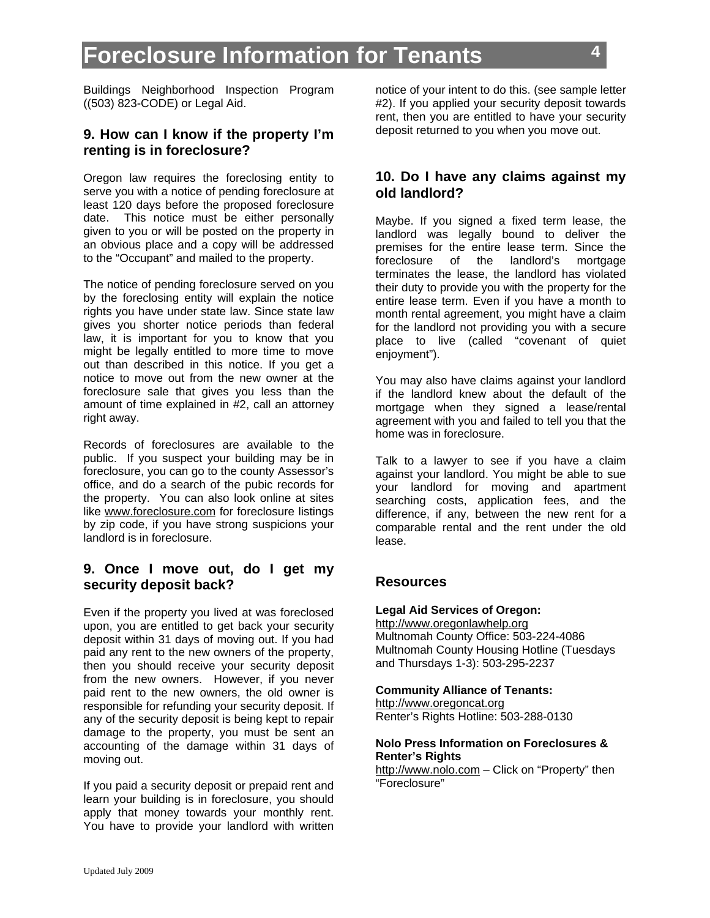Buildings Neighborhood Inspection Program ((503) 823-CODE) or Legal Aid.

#### **9. How can I know if the property I'm renting is in foreclosure?**

Oregon law requires the foreclosing entity to serve you with a notice of pending foreclosure at least 120 days before the proposed foreclosure date. This notice must be either personally given to you or will be posted on the property in an obvious place and a copy will be addressed to the "Occupant" and mailed to the property.

The notice of pending foreclosure served on you by the foreclosing entity will explain the notice rights you have under state law. Since state law gives you shorter notice periods than federal law, it is important for you to know that you might be legally entitled to more time to move out than described in this notice. If you get a notice to move out from the new owner at the foreclosure sale that gives you less than the amount of time explained in #2, call an attorney right away.

Records of foreclosures are available to the public. If you suspect your building may be in foreclosure, you can go to the county Assessor's office, and do a search of the pubic records for the property. You can also look online at sites like www.foreclosure.com for foreclosure listings by zip code, if you have strong suspicions your landlord is in foreclosure.

#### **9. Once I move out, do I get my security deposit back?**

Even if the property you lived at was foreclosed upon, you are entitled to get back your security deposit within 31 days of moving out. If you had paid any rent to the new owners of the property, then you should receive your security deposit from the new owners. However, if you never paid rent to the new owners, the old owner is responsible for refunding your security deposit. If any of the security deposit is being kept to repair damage to the property, you must be sent an accounting of the damage within 31 days of moving out.

If you paid a security deposit or prepaid rent and learn your building is in foreclosure, you should apply that money towards your monthly rent. You have to provide your landlord with written

notice of your intent to do this. (see sample letter #2). If you applied your security deposit towards rent, then you are entitled to have your security deposit returned to you when you move out.

#### **10. Do I have any claims against my old landlord?**

Maybe. If you signed a fixed term lease, the landlord was legally bound to deliver the premises for the entire lease term. Since the foreclosure of the landlord's mortgage terminates the lease, the landlord has violated their duty to provide you with the property for the entire lease term. Even if you have a month to month rental agreement, you might have a claim for the landlord not providing you with a secure place to live (called "covenant of quiet enjoyment").

You may also have claims against your landlord if the landlord knew about the default of the mortgage when they signed a lease/rental agreement with you and failed to tell you that the home was in foreclosure.

Talk to a lawyer to see if you have a claim against your landlord. You might be able to sue your landlord for moving and apartment searching costs, application fees, and the difference, if any, between the new rent for a comparable rental and the rent under the old lease.

#### **Resources**

#### **Legal Aid Services of Oregon:**

http://www.oregonlawhelp.org Multnomah County Office: 503-224-4086 Multnomah County Housing Hotline (Tuesdays and Thursdays 1-3): 503-295-2237

**Community Alliance of Tenants:**

http://www.oregoncat.org Renter's Rights Hotline: 503-288-0130

#### **Nolo Press Information on Foreclosures & Renter's Rights**

http://www.nolo.com - Click on "Property" then "Foreclosure"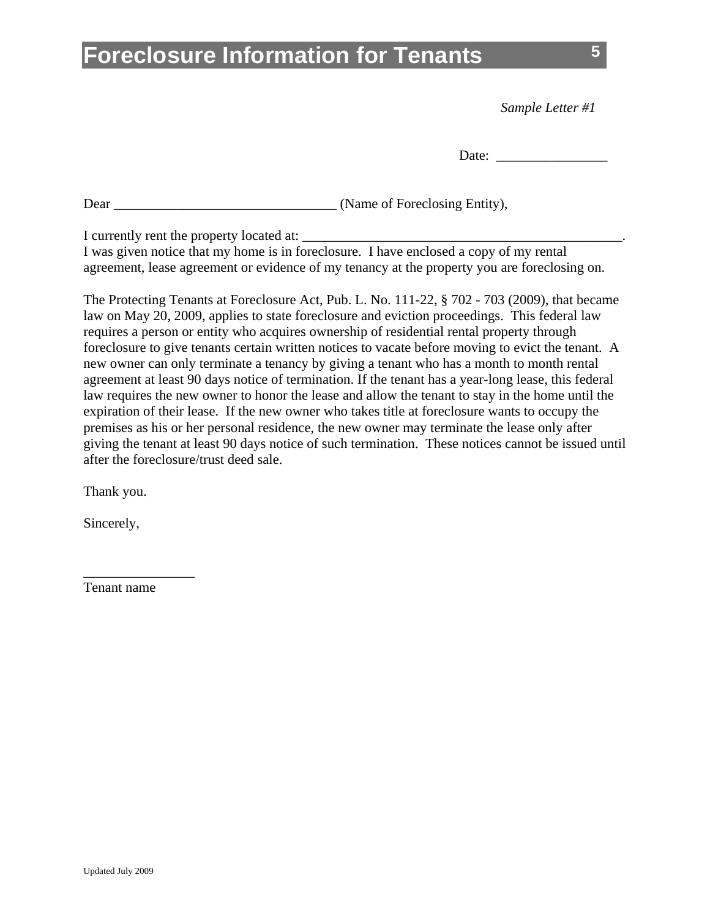*Sample Letter #1* 

Dear \_\_\_\_\_\_\_\_\_\_\_\_\_\_\_\_\_\_\_\_\_\_\_\_\_\_\_\_\_\_\_\_ (Name of Foreclosing Entity),

I currently rent the property located at: \_\_\_\_\_\_\_\_\_\_\_\_\_\_\_\_\_\_\_\_\_\_\_\_\_\_\_\_\_\_\_\_\_\_\_\_\_\_\_\_\_\_\_\_\_\_.

| I was given notice that my home is in foreclosure. I have enclosed a copy of my rental       |  |
|----------------------------------------------------------------------------------------------|--|
| agreement, lease agreement or evidence of my tenancy at the property you are foreclosing on. |  |

The Protecting Tenants at Foreclosure Act, Pub. L. No. 111-22, § 702 - 703 (2009), that became law on May 20, 2009, applies to state foreclosure and eviction proceedings. This federal law requires a person or entity who acquires ownership of residential rental property through foreclosure to give tenants certain written notices to vacate before moving to evict the tenant. A new owner can only terminate a tenancy by giving a tenant who has a month to month rental agreement at least 90 days notice of termination. If the tenant has a year-long lease, this federal law requires the new owner to honor the lease and allow the tenant to stay in the home until the expiration of their lease. If the new owner who takes title at foreclosure wants to occupy the premises as his or her personal residence, the new owner may terminate the lease only after giving the tenant at least 90 days notice of such termination. These notices cannot be issued until after the foreclosure/trust deed sale.

Thank you.

Sincerely,

Tenant name

\_\_\_\_\_\_\_\_\_\_\_\_\_\_\_\_